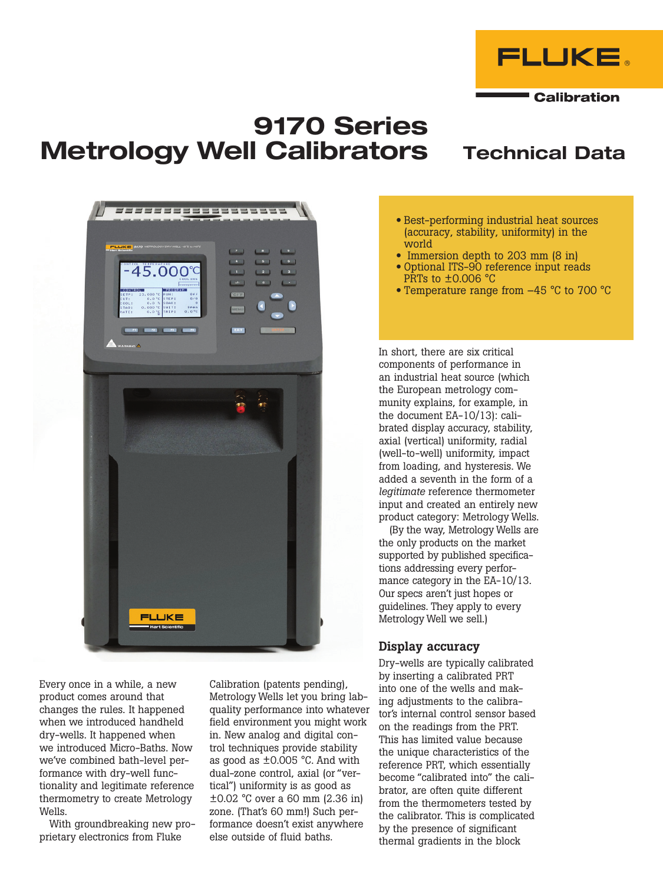

**Calibration** 

# 9170 Series Metrology Well Calibrators Technical Data



Every once in a while, a new product comes around that changes the rules. It happened when we introduced handheld dry-wells. It happened when we introduced Micro-Baths. Now we've combined bath-level performance with dry-well functionality and legitimate reference thermometry to create Metrology Wells.

With groundbreaking new proprietary electronics from Fluke

Calibration (patents pending), Metrology Wells let you bring labquality performance into whatever field environment you might work in. New analog and digital control techniques provide stability as good as ±0.005 °C. And with dual-zone control, axial (or "vertical") uniformity is as good as ±0.02 °C over a 60 mm (2.36 in) zone. (That's 60 mm!) Such performance doesn't exist anywhere else outside of fluid baths.

- Best-performing industrial heat sources (accuracy, stability, uniformity) in the world
- Immersion depth to 203 mm (8 in)
- Optional ITS-90 reference input reads PRTs to ±0.006 °C
- Temperature range from  $-45$  °C to 700 °C

In short, there are six critical components of performance in an industrial heat source (which the European metrology community explains, for example, in the document EA-10/13): calibrated display accuracy, stability, axial (vertical) uniformity, radial (well-to-well) uniformity, impact from loading, and hysteresis. We added a seventh in the form of a *legitimate* reference thermometer input and created an entirely new product category: Metrology Wells.

(By the way, Metrology Wells are the only products on the market supported by published specifications addressing every performance category in the EA-10/13. Our specs aren't just hopes or guidelines. They apply to every Metrology Well we sell.)

#### Display accuracy

Dry-wells are typically calibrated by inserting a calibrated PRT into one of the wells and making adjustments to the calibrator's internal control sensor based on the readings from the PRT. This has limited value because the unique characteristics of the reference PRT, which essentially become "calibrated into" the calibrator, are often quite different from the thermometers tested by the calibrator. This is complicated by the presence of significant thermal gradients in the block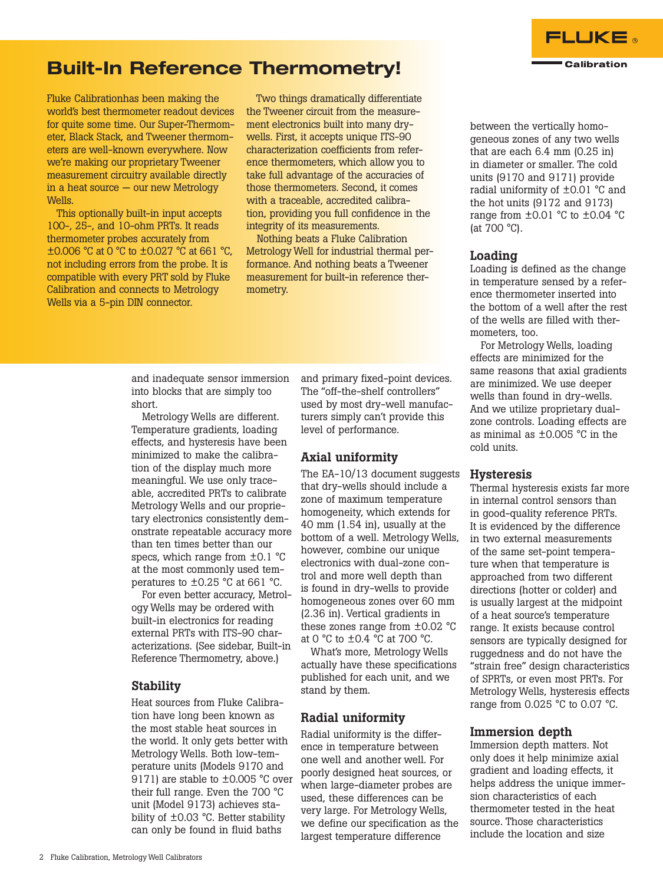

### Built-In Reference Thermometry!

Fluke Calibrationhas been making the world's best thermometer readout devices for quite some time. Our Super-Thermometer, Black Stack, and Tweener thermometers are well-known everywhere. Now we're making our proprietary Tweener measurement circuitry available directly in a heat source — our new Metrology Wells.

This optionally built-in input accepts 100-, 25-, and 10-ohm PRTs. It reads thermometer probes accurately from ±0.006 °C at 0 °C to ±0.027 °C at 661 °C, not including errors from the probe. It is compatible with every PRT sold by Fluke Calibration and connects to Metrology Wells via a 5-pin DIN connector.

Two things dramatically differentiate the Tweener circuit from the measurement electronics built into many drywells. First, it accepts unique ITS-90 characterization coefficients from reference thermometers, which allow you to take full advantage of the accuracies of those thermometers. Second, it comes with a traceable, accredited calibration, providing you full confidence in the integrity of its measurements.

Nothing beats a Fluke Calibration Metrology Well for industrial thermal performance. And nothing beats a Tweener measurement for built-in reference thermometry.

and inadequate sensor immersion into blocks that are simply too short.

Metrology Wells are different. Temperature gradients, loading effects, and hysteresis have been minimized to make the calibration of the display much more meaningful. We use only traceable, accredited PRTs to calibrate Metrology Wells and our proprietary electronics consistently demonstrate repeatable accuracy more than ten times better than our specs, which range from  $\pm$ 0.1 °C at the most commonly used temperatures to ±0.25 °C at 661 °C.

For even better accuracy, Metrology Wells may be ordered with built-in electronics for reading external PRTs with ITS-90 characterizations. (See sidebar, Built-in Reference Thermometry, above.)

#### **Stability**

Heat sources from Fluke Calibration have long been known as the most stable heat sources in the world. It only gets better with Metrology Wells. Both low-temperature units (Models 9170 and 9171) are stable to ±0.005 °C over their full range. Even the 700 °C unit (Model 9173) achieves stability of ±0.03 °C. Better stability can only be found in fluid baths

and primary fixed-point devices. The "off-the-shelf controllers" used by most dry-well manufacturers simply can't provide this level of performance.

#### Axial uniformity

The EA-10/13 document suggests that dry-wells should include a zone of maximum temperature homogeneity, which extends for 40 mm (1.54 in), usually at the bottom of a well. Metrology Wells, however, combine our unique electronics with dual-zone control and more well depth than is found in dry-wells to provide homogeneous zones over 60 mm (2.36 in). Vertical gradients in these zones range from ±0.02 °C at 0 °C to ±0.4 °C at 700 °C.

What's more, Metrology Wells actually have these specifications published for each unit, and we stand by them.

#### Radial uniformity

Radial uniformity is the difference in temperature between one well and another well. For poorly designed heat sources, or when large-diameter probes are used, these differences can be very large. For Metrology Wells, we define our specification as the largest temperature difference

between the vertically homogeneous zones of any two wells that are each 6.4 mm (0.25 in) in diameter or smaller. The cold units (9170 and 9171) provide radial uniformity of ±0.01 °C and the hot units (9172 and 9173) range from ±0.01 °C to ±0.04 °C (at 700 °C).

#### Loading

Loading is defined as the change in temperature sensed by a reference thermometer inserted into the bottom of a well after the rest of the wells are filled with thermometers, too.

For Metrology Wells, loading effects are minimized for the same reasons that axial gradients are minimized. We use deeper wells than found in dry-wells. And we utilize proprietary dualzone controls. Loading effects are as minimal as ±0.005 °C in the cold units.

#### Hysteresis

Thermal hysteresis exists far more in internal control sensors than in good-quality reference PRTs. It is evidenced by the difference in two external measurements of the same set-point temperature when that temperature is approached from two different directions (hotter or colder) and is usually largest at the midpoint of a heat source's temperature range. It exists because control sensors are typically designed for ruggedness and do not have the "strain free" design characteristics of SPRTs, or even most PRTs. For Metrology Wells, hysteresis effects range from 0.025 °C to 0.07 °C.

#### Immersion depth

Immersion depth matters. Not only does it help minimize axial gradient and loading effects, it helps address the unique immersion characteristics of each thermometer tested in the heat source. Those characteristics include the location and size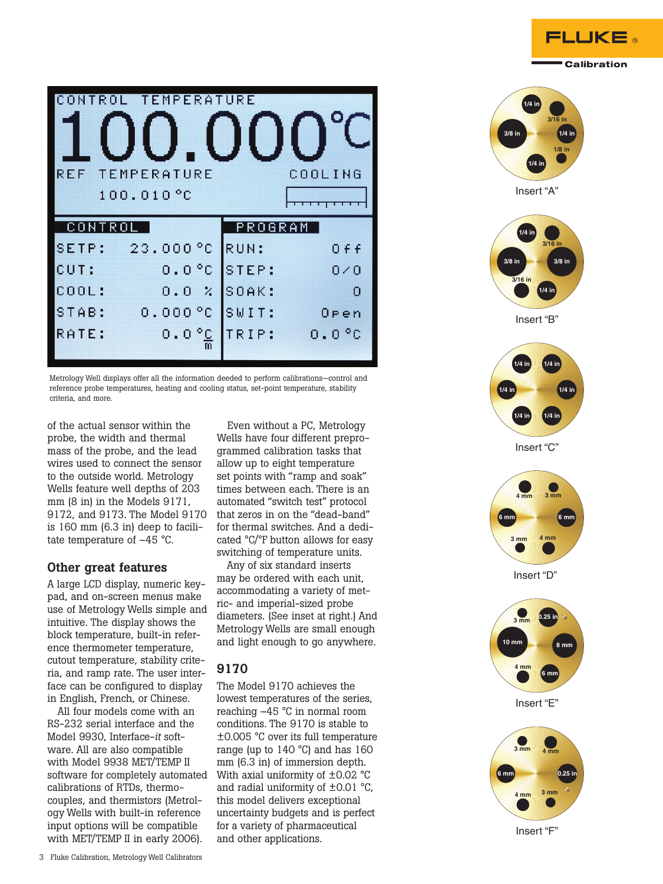

|        | CONTROL TEMPERATURE           |              |              |         |             |
|--------|-------------------------------|--------------|--------------|---------|-------------|
|        |                               |              |              |         |             |
| REF    | <b>TEMPERATURE</b>            |              |              | COOLING |             |
|        | 100.010 °C                    |              |              |         |             |
|        |                               |              |              |         |             |
| CONTRO |                               |              |              | PROGRAM |             |
| SETP:  | 23.000 °C RUN:                |              |              |         | 0 f f       |
| CUT:   |                               |              | 0.0°C ISTEP: |         | $0\times 0$ |
| COOL:  |                               | $0.0 \times$ | SOAK:        |         | $\Omega$    |
| STAB:  | 0.000 °C<br>$0.0\frac{°C}{m}$ |              | SWIT:        |         | Oren        |

Metrology Well displays offer all the information deeded to perform calibrations—control and reference probe temperatures, heating and cooling status, set-point temperature, stability criteria, and more.

of the actual sensor within the probe, the width and thermal mass of the probe, and the lead wires used to connect the sensor to the outside world. Metrology Wells feature well depths of 203 mm (8 in) in the Models 9171, 9172, and 9173. The Model 9170 is 160 mm (6.3 in) deep to facilitate temperature of –45 °C.

#### Other great features

A large LCD display, numeric keypad, and on-screen menus make use of Metrology Wells simple and intuitive. The display shows the block temperature, built-in reference thermometer temperature, cutout temperature, stability criteria, and ramp rate. The user interface can be configured to display in English, French, or Chinese.

All four models come with an RS-232 serial interface and the Model 9930, Interface-*it* software. All are also compatible with Model 9938 MET/TEMP II software for completely automated calibrations of RTDs, thermocouples, and thermistors (Metrology Wells with built-in reference input options will be compatible with MET/TEMP II in early 2006).

Even without a PC, Metrology Wells have four different preprogrammed calibration tasks that allow up to eight temperature set points with "ramp and soak" times between each. There is an automated "switch test" protocol that zeros in on the "dead-band" for thermal switches. And a dedicated °C/°F button allows for easy switching of temperature units.

Any of six standard inserts may be ordered with each unit, accommodating a variety of metric- and imperial-sized probe diameters. (See inset at right.) And Metrology Wells are small enough and light enough to go anywhere.

### 9170

The Model 9170 achieves the lowest temperatures of the series, reaching –45 °C in normal room conditions. The 9170 is stable to ±0.005 °C over its full temperature range (up to 140 °C) and has 160 mm (6.3 in) of immersion depth. With axial uniformity of  $\pm$ 0.02 °C and radial uniformity of ±0.01 °C, this model delivers exceptional uncertainty budgets and is perfect for a variety of pharmaceutical and other applications.





Insert "F"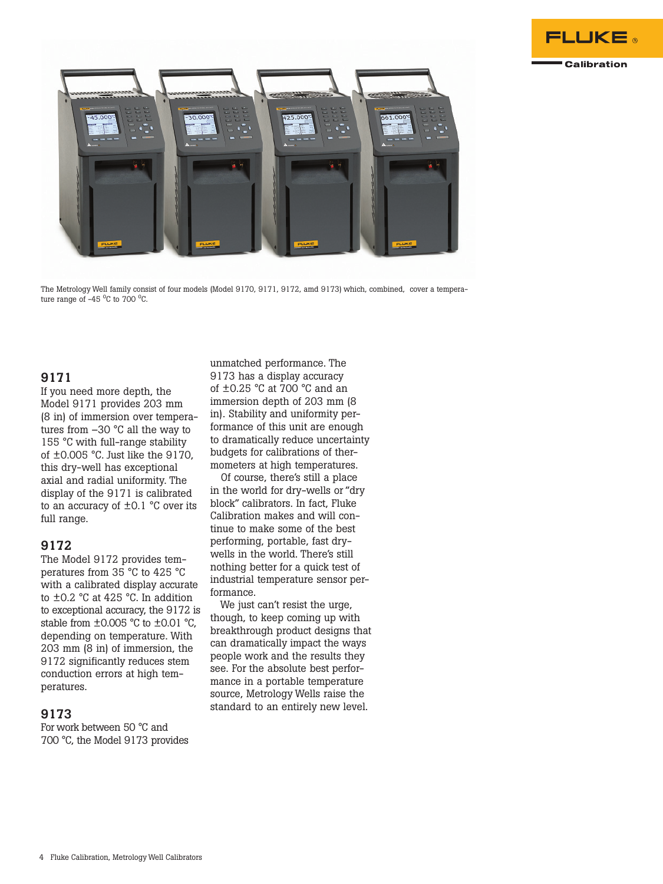



The Metrology Well family consist of four models (Model 9170, 9171, 9172, amd 9173) which, combined, cover a temperature range of  $-45\degree$ C to 700 $\degree$ C.

#### 9171

If you need more depth, the Model 9171 provides 203 mm (8 in) of immersion over temperatures from –30 °C all the way to 155 °C with full-range stability of ±0.005 °C. Just like the 9170, this dry-well has exceptional axial and radial uniformity. The display of the 9171 is calibrated to an accuracy of  $\pm 0.1$  °C over its full range.

#### 9172

The Model 9172 provides temperatures from 35 °C to 425 °C with a calibrated display accurate to ±0.2 °C at 425 °C. In addition to exceptional accuracy, the 9172 is stable from  $\pm 0.005$  °C to  $\pm 0.01$  °C, depending on temperature. With 203 mm (8 in) of immersion, the 9172 significantly reduces stem conduction errors at high temperatures.

#### 9173

For work between 50 °C and 700 °C, the Model 9173 provides

unmatched performance. The 9173 has a display accuracy of ±0.25 °C at 700 °C and an immersion depth of 203 mm (8 in). Stability and uniformity performance of this unit are enough to dramatically reduce uncertainty budgets for calibrations of thermometers at high temperatures.

Of course, there's still a place in the world for dry-wells or "dry block" calibrators. In fact, Fluke Calibration makes and will continue to make some of the best performing, portable, fast drywells in the world. There's still nothing better for a quick test of industrial temperature sensor performance.

We just can't resist the urge, though, to keep coming up with breakthrough product designs that can dramatically impact the ways people work and the results they see. For the absolute best performance in a portable temperature source, Metrology Wells raise the standard to an entirely new level.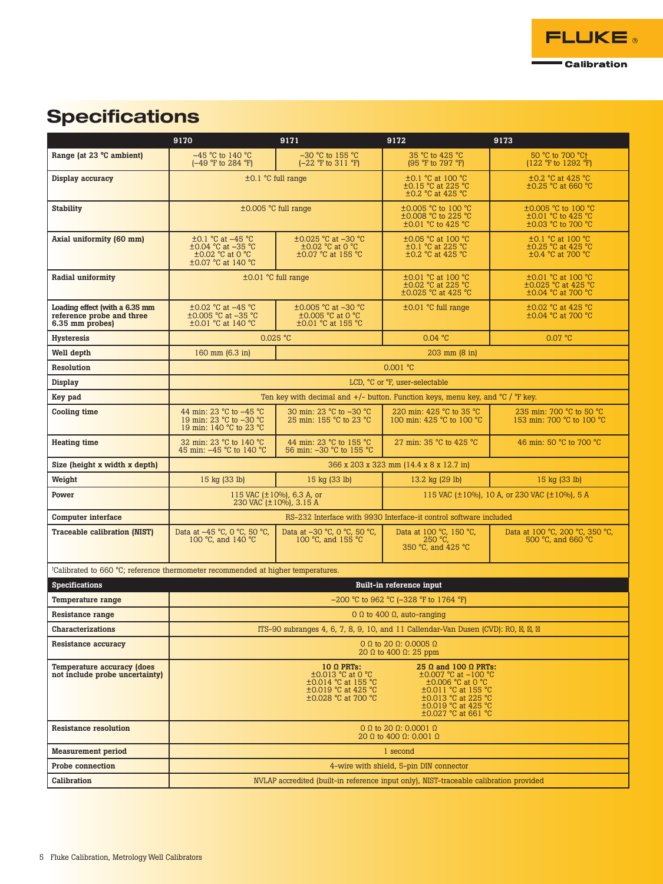

# **Specifications**

|                                                                                  | 9170                                                                                          | 9171                                                                                                        | 9172                                                                                                                                                                               | 9173                                                                      |  |
|----------------------------------------------------------------------------------|-----------------------------------------------------------------------------------------------|-------------------------------------------------------------------------------------------------------------|------------------------------------------------------------------------------------------------------------------------------------------------------------------------------------|---------------------------------------------------------------------------|--|
| Range (at 23 °C ambient)                                                         | $-45$ °C to 140 °C<br>(-49 °F to 284 °F)                                                      | $-30$ °C to 155 °C<br>(-22 °F to 311 °F)                                                                    | 35 °C to 425 °C<br>(95 °F to 797 °F)                                                                                                                                               | 50 °C to 700 °C+<br>(122 °F to 1292 °F)                                   |  |
| Display accuracy                                                                 | $\pm 0.1$ °C full range                                                                       |                                                                                                             | ±0.1 °C at 100 °C<br>$\pm 0.15$ °C at 225 °C<br>±0.2 °C at 425 °C                                                                                                                  | $\pm 0.2$ °C at 425 °C<br>$\pm 0.25$ °C at 660 °C                         |  |
| <b>Stability</b>                                                                 |                                                                                               | ±0.005 °C full range                                                                                        | ±0.005 °C to 100 °C<br>$\pm 0.008$ °C to 225 °C<br>±0.01 °C to 425 °C                                                                                                              | $\pm 0.005$ °C to 100 °C<br>±0.01 °C to 425 °C<br>±0.03 °C to 700 °C      |  |
| Axial uniformity (60 mm)                                                         | $\pm 0.1$ °C at $-45$ °C<br>±0.04 °C at -35 °C<br>$\pm 0.02$ °C at 0 °C<br>±0.07 °C at 140 °C | ±0.025 °C at -30 °C<br>$\pm 0.02$ °C at 0 °C<br>±0.07 °C at 155 °C                                          | ±0.05 °C at 100 °C<br>$\pm 0.1$ °C at 225 °C<br>±0.2 °C at 425 °C                                                                                                                  | $\pm 0.1$ °C at 100 °C<br>±0.25 °C at 425 °C<br>±0.4 °C at 700 °C         |  |
| Radial uniformity                                                                |                                                                                               | $\pm 0.01$ °C full range                                                                                    | ±0.01 °C at 100 °C<br>±0.02 °C at 225 °C<br>$\pm 0.025$ °C at 425 °C                                                                                                               | $\pm 0.01$ °C at 100 °C<br>±0.025 °C at 425 °C<br>$\pm 0.04$ °C at 700 °C |  |
| Loading effect (with a 6.35 mm<br>reference probe and three<br>6.35 mm probes)   | $\pm 0.02$ °C at $-45$ °C<br>$\pm 0.005$ °C at -35 °C<br>±0.01 °C at 140 °C                   | ±0.005 °C at -30 °C<br>$\pm 0.005$ °C at 0 °C<br>$\pm 0.01$ °C at 155 °C                                    | $\pm 0.01$ °C full range                                                                                                                                                           | ±0.02 °C at 425 °C<br>±0.04 °C at 700 °C                                  |  |
| <b>Hysteresis</b>                                                                |                                                                                               | $0.025$ °C                                                                                                  | 0.04 °C                                                                                                                                                                            | 0.07 °C                                                                   |  |
| Well depth                                                                       | 160 mm (6.3 in)                                                                               |                                                                                                             | 203 mm (8 in)                                                                                                                                                                      |                                                                           |  |
| Resolution                                                                       |                                                                                               |                                                                                                             | 0.001 °C                                                                                                                                                                           |                                                                           |  |
| Display                                                                          |                                                                                               |                                                                                                             | LCD. °C or °F. user-selectable                                                                                                                                                     |                                                                           |  |
| Key pad                                                                          |                                                                                               | Ten key with decimal and $+/-$ button. Function keys, menu key, and $°C$ / $°F$ key.                        |                                                                                                                                                                                    |                                                                           |  |
| Cooling time                                                                     | 44 min: 23 °C to -45 °C<br>19 min: 23 °C to -30 °C<br>19 min: 140 °C to 23 °C                 | 30 min: 23 °C to -30 °C<br>25 min: 155 °C to 23 °C                                                          | 220 min: 425 °C to 35 °C<br>100 min: 425 °C to 100 °C                                                                                                                              | 235 min: 700 °C to 50 °C<br>153 min: 700 °C to 100 °C                     |  |
| <b>Heating time</b>                                                              | 32 min: 23 °C to 140 °C<br>45 min: -45 °C to 140 °C                                           | 44 min: 23 °C to 155 °C<br>56 min: -30 °C to 155 °C                                                         | 27 min: 35 °C to 425 °C                                                                                                                                                            | 46 min: 50 °C to 700 °C                                                   |  |
| Size (height x width x depth)                                                    |                                                                                               |                                                                                                             | 366 x 203 x 323 mm (14.4 x 8 x 12.7 in)                                                                                                                                            |                                                                           |  |
| Weight                                                                           | 15 kg (33 lb)                                                                                 | 15 kg (33 lb)                                                                                               | 13.2 kg (29 lb)                                                                                                                                                                    | 15 kg (33 lb)                                                             |  |
| Power                                                                            |                                                                                               | 115 VAC $(\pm 10\%)$ , 6.3 A, or<br>230 VAC (±10%), 3.15 A                                                  |                                                                                                                                                                                    | 115 VAC $(\pm 10\%)$ , 10 A, or 230 VAC $(\pm 10\%)$ , 5 A                |  |
| Computer interface                                                               |                                                                                               |                                                                                                             | RS-232 Interface with 9930 Interface-it control software included                                                                                                                  |                                                                           |  |
| <b>Traceable calibration (NIST)</b>                                              | Data at -45 °C, 0 °C, 50 °C,<br>100 °C, and 140 °C                                            | Data at -30 °C, 0 °C, 50 °C,<br>100 °C, and 155 °C                                                          | Data at 100 °C, 150 °C,<br>$250 °C$ ,<br>350 °C, and 425 °C                                                                                                                        | Data at 100 °C, 200 °C, 350 °C,<br>500 °C, and 660 °C                     |  |
| tCalibrated to 660 °C; reference thermometer recommended at higher temperatures. |                                                                                               |                                                                                                             |                                                                                                                                                                                    |                                                                           |  |
| <b>Specifications</b>                                                            |                                                                                               |                                                                                                             | Built-in reference input                                                                                                                                                           |                                                                           |  |
| <b>Temperature range</b>                                                         |                                                                                               |                                                                                                             | $-200$ °C to 962 °C (-328 °F to 1764 °F)                                                                                                                                           |                                                                           |  |
| Resistance range                                                                 | $0$ Ω to 400 Ω, auto-ranging                                                                  |                                                                                                             |                                                                                                                                                                                    |                                                                           |  |
| Characterizations                                                                | ITS-90 subranges 4, 6, 7, 8, 9, 10, and 11 Callendar-Van Dusen (CVD): RO, $\mu$ ,             |                                                                                                             |                                                                                                                                                                                    |                                                                           |  |
| Resistance accuracy                                                              | 0 Ω to 20 Ω: 0.0005 Ω<br>20 Ω to 400 Ω: 25 ppm                                                |                                                                                                             |                                                                                                                                                                                    |                                                                           |  |
| <b>Temperature accuracy (does</b><br>not include probe uncertainty)              |                                                                                               | $10 \Omega$ PRTs:<br>±0.013 °C at 0 °C<br>±0.014 °C at 155 °C<br>±0.019 °C at 425 °C<br>±0.028 °C at 700 °C | 25 $\Omega$ and 100 $\Omega$ PRTs:<br>$\pm 0.007$ °C at $-100$ °C<br>±0.006 °C at 0 °C<br>±0.011 °C at 155 °C<br>±0.013 °C at 225 °C<br>±0.019 °C at 425 °C<br>±0.027 °C at 661 °C |                                                                           |  |
| <b>Resistance resolution</b>                                                     |                                                                                               |                                                                                                             | $0$ Ω to 20 Ω: 0.0001 Ω<br>20 Ω to 400 Ω: 0.001 Ω                                                                                                                                  |                                                                           |  |
| <b>Measurement period</b>                                                        | 1 second                                                                                      |                                                                                                             |                                                                                                                                                                                    |                                                                           |  |
| Probe connection                                                                 |                                                                                               |                                                                                                             | 4-wire with shield, 5-pin DIN connector                                                                                                                                            |                                                                           |  |
| Calibration                                                                      |                                                                                               | NVLAP accredited (built-in reference input only), NIST-traceable calibration provided                       |                                                                                                                                                                                    |                                                                           |  |